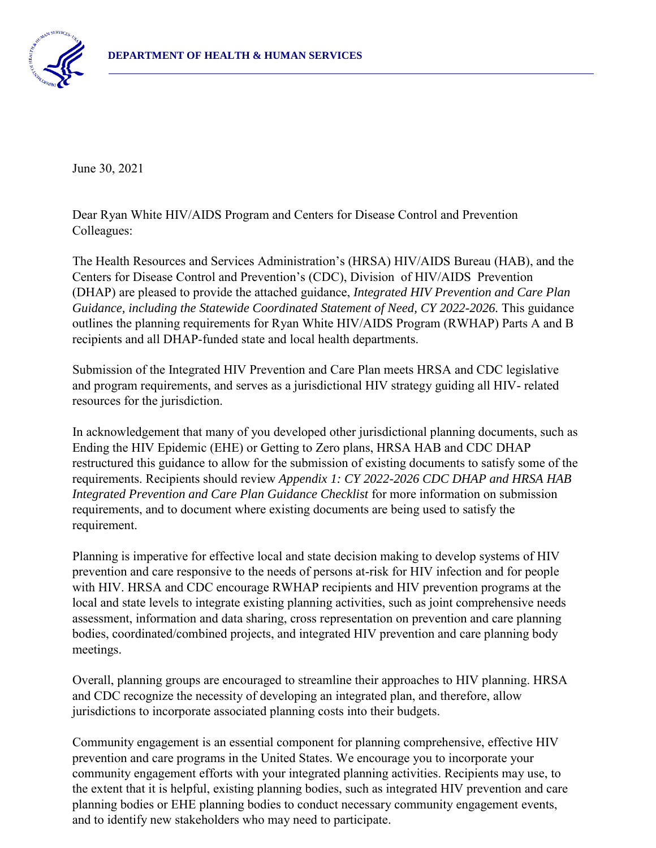

June 30, 2021

Dear Ryan White HIV/AIDS Program and Centers for Disease Control and Prevention Colleagues:

The Health Resources and Services Administration's (HRSA) HIV/AIDS Bureau (HAB), and the Centers for Disease Control and Prevention's (CDC), Division of HIV/AIDS Prevention (DHAP) are pleased to provide the attached guidance, *Integrated HIV Prevention and Care Plan* Guidance, including the Statewide Coordinated Statement of Need, CY 2022-2026. This guidance outlines the planning requirements for Ryan White HIV/AIDS Program (RWHAP) Parts A and B recipients and all DHAP-funded state and local health departments.

Submission of the Integrated HIV Prevention and Care Plan meets HRSA and CDC legislative and program requirements, and serves as a jurisdictional HIV strategy guiding all HIV- related resources for the jurisdiction.

In acknowledgement that many of you developed other jurisdictional planning documents, such as Ending the HIV Epidemic (EHE) or Getting to Zero plans, HRSA HAB and CDC DHAP restructured this guidance to allow for the submission of existing documents to satisfy some of the requirements. Recipients should review *Appendix 1: CY 2022-2026 CDC DHAP and HRSA HAB Integrated Prevention and Care Plan Guidance Checklist* for more information on submission requirements, and to document where existing documents are being used to satisfy the requirement.

Planning is imperative for effective local and state decision making to develop systems of HIV prevention and care responsive to the needs of persons at-risk for HIV infection and for people with HIV. HRSA and CDC encourage RWHAP recipients and HIV prevention programs at the local and state levels to integrate existing planning activities, such as joint comprehensive needs assessment, information and data sharing, cross representation on prevention and care planning bodies, coordinated/combined projects, and integrated HIV prevention and care planning body meetings.

Overall, planning groups are encouraged to streamline their approaches to HIV planning. HRSA and CDC recognize the necessity of developing an integrated plan, and therefore, allow jurisdictions to incorporate associated planning costs into their budgets.

Community engagement is an essential component for planning comprehensive, effective HIV prevention and care programs in the United States. We encourage you to incorporate your community engagement efforts with your integrated planning activities. Recipients may use, to the extent that it is helpful, existing planning bodies, such as integrated HIV prevention and care planning bodies or EHE planning bodies to conduct necessary community engagement events, and to identify new stakeholders who may need to participate.